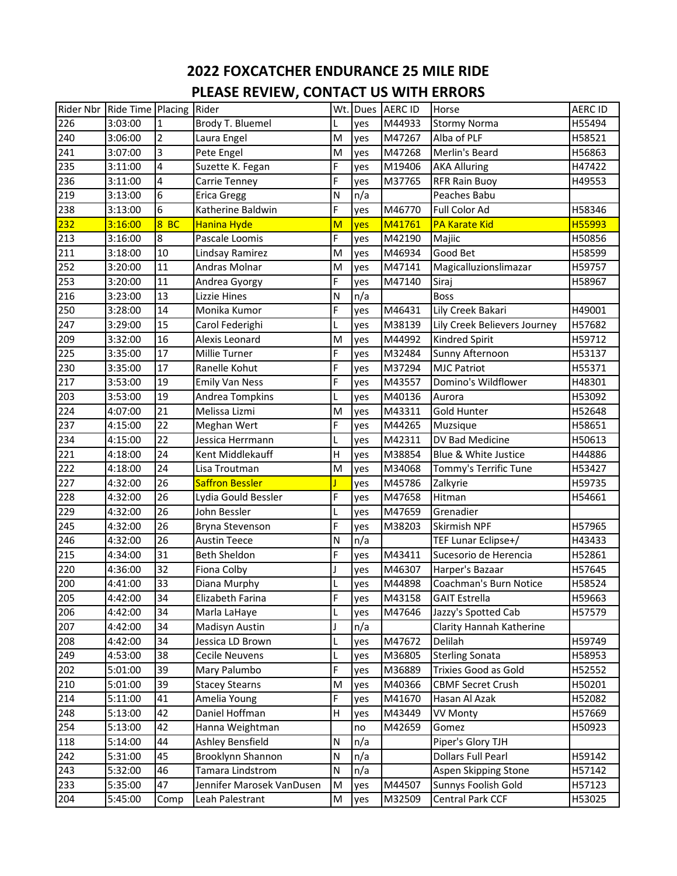## **2022 FOXCATCHER ENDURANCE 25 MILE RIDE PLEASE REVIEW, CONTACT US WITH ERRORS**

| Rider Nbr | Ride Time Placing Rider |                |                           |   |     | Wt. Dues AERC ID | Horse                        | <b>AERC ID</b> |
|-----------|-------------------------|----------------|---------------------------|---|-----|------------------|------------------------------|----------------|
| 226       | 3:03:00                 | $\mathbf{1}$   | Brody T. Bluemel          |   | yes | M44933           | <b>Stormy Norma</b>          | H55494         |
| 240       | 3:06:00                 | $\overline{2}$ | Laura Engel               | M | yes | M47267           | Alba of PLF                  | H58521         |
| 241       | 3:07:00                 | 3              | Pete Engel                | M | yes | M47268           | Merlin's Beard               | H56863         |
| 235       | 3:11:00                 | 4              | Suzette K. Fegan          | F | yes | M19406           | <b>AKA Alluring</b>          | H47422         |
| 236       | 3:11:00                 | 4              | Carrie Tenney             | F | yes | M37765           | <b>RFR Rain Buoy</b>         | H49553         |
| 219       | 3:13:00                 | 6              | Erica Gregg               | N | n/a |                  | Peaches Babu                 |                |
| 238       | 3:13:00                 | 6              | Katherine Baldwin         | F | yes | M46770           | Full Color Ad                | H58346         |
| 232       | 3:16:00                 | 8BC            | Hanina Hyde               | M | yes | M41761           | <b>PA Karate Kid</b>         | H55993         |
| 213       | 3:16:00                 | $\overline{8}$ | Pascale Loomis            | F | yes | M42190           | Majiic                       | H50856         |
| 211       | 3:18:00                 | 10             | Lindsay Ramirez           | M | yes | M46934           | Good Bet                     | H58599         |
| 252       | 3:20:00                 | 11             | Andras Molnar             | M | yes | M47141           | Magicalluzionslimazar        | H59757         |
| 253       | 3:20:00                 | 11             | Andrea Gyorgy             | F | yes | M47140           | Siraj                        | H58967         |
| 216       | 3:23:00                 | 13             | Lizzie Hines              | N | n/a |                  | <b>Boss</b>                  |                |
| 250       | 3:28:00                 | 14             | Monika Kumor              | F | yes | M46431           | Lily Creek Bakari            | H49001         |
| 247       | 3:29:00                 | 15             | Carol Federighi           | L | yes | M38139           | Lily Creek Believers Journey | H57682         |
| 209       | 3:32:00                 | 16             | Alexis Leonard            | M | yes | M44992           | Kindred Spirit               | H59712         |
| 225       | 3:35:00                 | 17             | Millie Turner             | F | yes | M32484           | Sunny Afternoon              | H53137         |
| 230       | 3:35:00                 | 17             | Ranelle Kohut             | F | yes | M37294           | <b>MJC Patriot</b>           | H55371         |
| 217       | 3:53:00                 | 19             | <b>Emily Van Ness</b>     | F | yes | M43557           | Domino's Wildflower          | H48301         |
| 203       | 3:53:00                 | 19             | Andrea Tompkins           | L | yes | M40136           | Aurora                       | H53092         |
| 224       | 4:07:00                 | 21             | Melissa Lizmi             | M | yes | M43311           | Gold Hunter                  | H52648         |
| 237       | 4:15:00                 | 22             | Meghan Wert               | F | yes | M44265           | Muzsique                     | H58651         |
| 234       | 4:15:00                 | 22             | Jessica Herrmann          | L | yes | M42311           | DV Bad Medicine              | H50613         |
| 221       | 4:18:00                 | 24             | Kent Middlekauff          | Н | yes | M38854           | Blue & White Justice         | H44886         |
| 222       | 4:18:00                 | 24             | Lisa Troutman             | M | yes | M34068           | Tommy's Terrific Tune        | H53427         |
| 227       | 4:32:00                 | 26             | <b>Saffron Bessler</b>    |   | yes | M45786           | Zalkyrie                     | H59735         |
| 228       | 4:32:00                 | 26             | Lydia Gould Bessler       | F | yes | M47658           | Hitman                       | H54661         |
| 229       | 4:32:00                 | 26             | John Bessler              | L | yes | M47659           | Grenadier                    |                |
| 245       | 4:32:00                 | 26             | Bryna Stevenson           | F | yes | M38203           | Skirmish NPF                 | H57965         |
| 246       | 4:32:00                 | 26             | <b>Austin Teece</b>       | N | n/a |                  | TEF Lunar Eclipse+/          | H43433         |
| 215       | 4:34:00                 | 31             | <b>Beth Sheldon</b>       | F | yes | M43411           | Sucesorio de Herencia        | H52861         |
| 220       | 4:36:00                 | 32             | Fiona Colby               | J | yes | M46307           | Harper's Bazaar              | H57645         |
| 200       | 4:41:00                 | 33             | Diana Murphy              | L | yes | M44898           | Coachman's Burn Notice       | H58524         |
| 205       | 4:42:00                 | 34             | Elizabeth Farina          | F | yes | M43158           | <b>GAIT Estrella</b>         | H59663         |
| 206       | 4:42:00                 | 34             | Marla LaHaye              | L | yes | M47646           | Jazzy's Spotted Cab          | H57579         |
| 207       | 4:42:00                 | 34             | Madisyn Austin            | J | n/a |                  | Clarity Hannah Katherine     |                |
| 208       | 4:42:00                 | 34             | Jessica LD Brown          | L | yes | M47672           | Delilah                      | H59749         |
| 249       | 4:53:00                 | 38             | Cecile Neuvens            | L | yes | M36805           | <b>Sterling Sonata</b>       | H58953         |
| 202       | 5:01:00                 | 39             | Mary Palumbo              | F | yes | M36889           | Trixies Good as Gold         | H52552         |
| 210       | 5:01:00                 | 39             | <b>Stacey Stearns</b>     | M | yes | M40366           | <b>CBMF Secret Crush</b>     | H50201         |
| 214       | 5:11:00                 | 41             | Amelia Young              | F | yes | M41670           | Hasan Al Azak                | H52082         |
| 248       | 5:13:00                 | 42             | Daniel Hoffman            | Н | yes | M43449           | <b>VV Monty</b>              | H57669         |
| 254       | 5:13:00                 | 42             | Hanna Weightman           |   | no  | M42659           | Gomez                        | H50923         |
| 118       | 5:14:00                 | 44             | Ashley Bensfield          | N | n/a |                  | Piper's Glory TJH            |                |
| 242       | 5:31:00                 | 45             | Brooklynn Shannon         | N | n/a |                  | <b>Dollars Full Pearl</b>    | H59142         |
| 243       | 5:32:00                 | 46             | Tamara Lindstrom          | N | n/a |                  | Aspen Skipping Stone         | H57142         |
| 233       | 5:35:00                 | 47             | Jennifer Marosek VanDusen | M | yes | M44507           | Sunnys Foolish Gold          | H57123         |
| 204       | 5:45:00                 | Comp           | Leah Palestrant           | M | yes | M32509           | Central Park CCF             | H53025         |